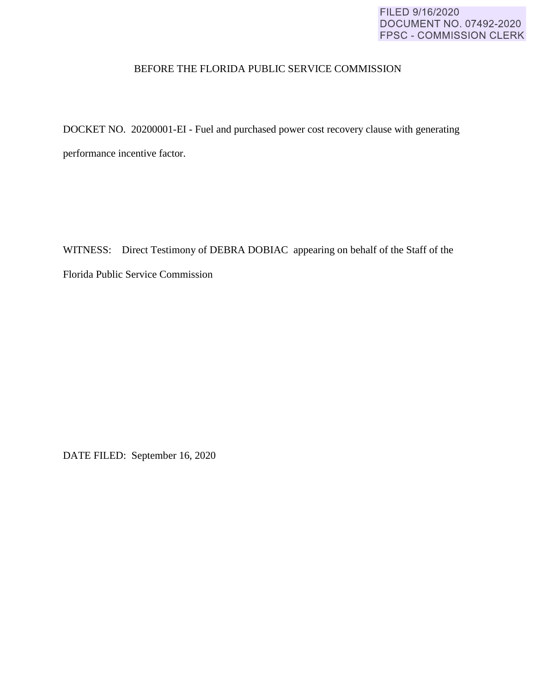### FILED 9/16/2020 DOCUMENT NO. 07492-2020 FPSC - COMMISSION CLERK

#### BEFORE THE FLORIDA PUBLIC SERVICE COMMISSION

DOCKET NO. 20200001-EI - Fuel and purchased power cost recovery clause with generating performance incentive factor.

WITNESS: Direct Testimony of DEBRA DOBIAC appearing on behalf of the Staff of the Florida Public Service Commission

DATE FILED: September 16, 2020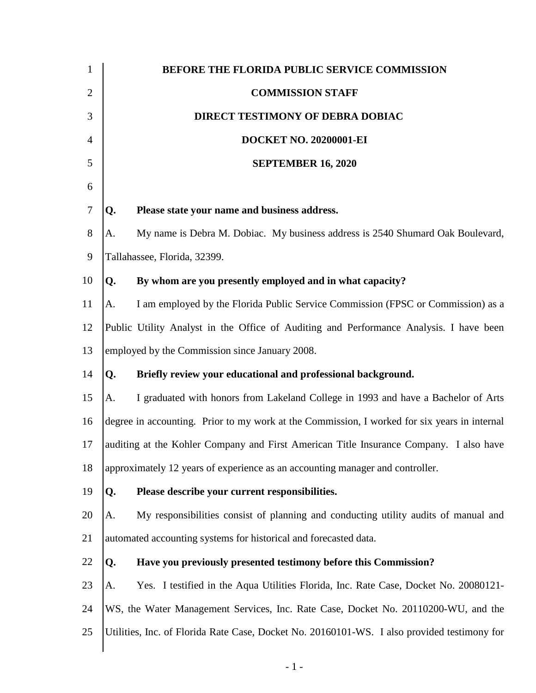| $\mathbf{1}$   |                                                                                              | BEFORE THE FLORIDA PUBLIC SERVICE COMMISSION                                                |  |  |  |
|----------------|----------------------------------------------------------------------------------------------|---------------------------------------------------------------------------------------------|--|--|--|
| $\overline{2}$ |                                                                                              | <b>COMMISSION STAFF</b>                                                                     |  |  |  |
| 3              |                                                                                              | DIRECT TESTIMONY OF DEBRA DOBIAC                                                            |  |  |  |
| $\overline{4}$ |                                                                                              | <b>DOCKET NO. 20200001-EI</b>                                                               |  |  |  |
| 5              |                                                                                              | <b>SEPTEMBER 16, 2020</b>                                                                   |  |  |  |
| 6              |                                                                                              |                                                                                             |  |  |  |
| 7              | Q.                                                                                           | Please state your name and business address.                                                |  |  |  |
| 8              | A.                                                                                           | My name is Debra M. Dobiac. My business address is 2540 Shumard Oak Boulevard,              |  |  |  |
| 9              | Tallahassee, Florida, 32399.                                                                 |                                                                                             |  |  |  |
| 10             | Q.                                                                                           | By whom are you presently employed and in what capacity?                                    |  |  |  |
| 11             | A.                                                                                           | I am employed by the Florida Public Service Commission (FPSC or Commission) as a            |  |  |  |
| 12             | Public Utility Analyst in the Office of Auditing and Performance Analysis. I have been       |                                                                                             |  |  |  |
| 13             | employed by the Commission since January 2008.                                               |                                                                                             |  |  |  |
| 14             | Q.                                                                                           | Briefly review your educational and professional background.                                |  |  |  |
| 15             | A.                                                                                           | I graduated with honors from Lakeland College in 1993 and have a Bachelor of Arts           |  |  |  |
| 16             | degree in accounting. Prior to my work at the Commission, I worked for six years in internal |                                                                                             |  |  |  |
| 17             | auditing at the Kohler Company and First American Title Insurance Company. I also have       |                                                                                             |  |  |  |
| 18             | approximately 12 years of experience as an accounting manager and controller.                |                                                                                             |  |  |  |
| 19             | Q.                                                                                           | Please describe your current responsibilities.                                              |  |  |  |
| 20             | A.                                                                                           | My responsibilities consist of planning and conducting utility audits of manual and         |  |  |  |
| 21             | automated accounting systems for historical and forecasted data.                             |                                                                                             |  |  |  |
| 22             | Q.                                                                                           | Have you previously presented testimony before this Commission?                             |  |  |  |
| 23             | A.                                                                                           | Yes. I testified in the Aqua Utilities Florida, Inc. Rate Case, Docket No. 20080121-        |  |  |  |
| 24             |                                                                                              | WS, the Water Management Services, Inc. Rate Case, Docket No. 20110200-WU, and the          |  |  |  |
| 25             |                                                                                              | Utilities, Inc. of Florida Rate Case, Docket No. 20160101-WS. I also provided testimony for |  |  |  |
|                |                                                                                              |                                                                                             |  |  |  |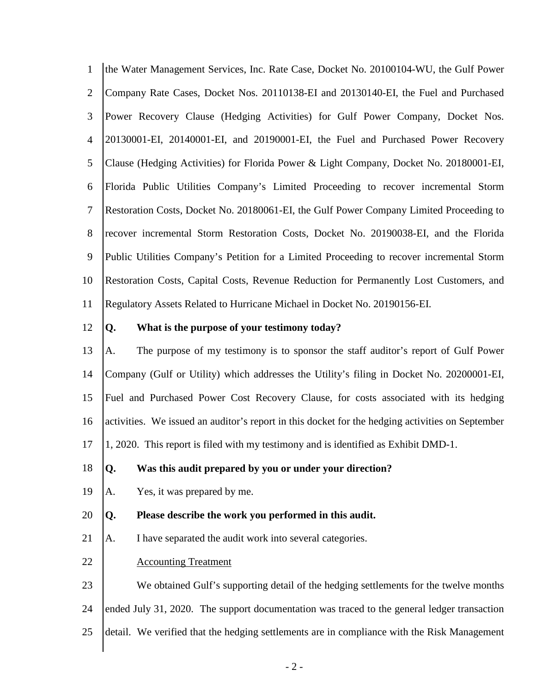1 2 3 4 5 6 7 8 9 10 11 the Water Management Services, Inc. Rate Case, Docket No. 20100104-WU, the Gulf Power Company Rate Cases, Docket Nos. 20110138-EI and 20130140-EI, the Fuel and Purchased Power Recovery Clause (Hedging Activities) for Gulf Power Company, Docket Nos. 20130001-EI, 20140001-EI, and 20190001-EI, the Fuel and Purchased Power Recovery Clause (Hedging Activities) for Florida Power & Light Company, Docket No. 20180001-EI, Florida Public Utilities Company's Limited Proceeding to recover incremental Storm Restoration Costs, Docket No. 20180061-EI, the Gulf Power Company Limited Proceeding to recover incremental Storm Restoration Costs, Docket No. 20190038-EI, and the Florida Public Utilities Company's Petition for a Limited Proceeding to recover incremental Storm Restoration Costs, Capital Costs, Revenue Reduction for Permanently Lost Customers, and Regulatory Assets Related to Hurricane Michael in Docket No. 20190156-EI.

12

#### **Q. What is the purpose of your testimony today?**

13 14 15 16 17 A. The purpose of my testimony is to sponsor the staff auditor's report of Gulf Power Company (Gulf or Utility) which addresses the Utility's filing in Docket No. 20200001-EI, Fuel and Purchased Power Cost Recovery Clause, for costs associated with its hedging activities. We issued an auditor's report in this docket for the hedging activities on September 1, 2020. This report is filed with my testimony and is identified as Exhibit DMD-1.

#### 18 **Q. Was this audit prepared by you or under your direction?**

19 A. Yes, it was prepared by me.

#### 20 **Q. Please describe the work you performed in this audit.**

21 A. I have separated the audit work into several categories.

#### 22 Accounting Treatment

23 24 We obtained Gulf's supporting detail of the hedging settlements for the twelve months ended July 31, 2020. The support documentation was traced to the general ledger transaction

25 detail. We verified that the hedging settlements are in compliance with the Risk Management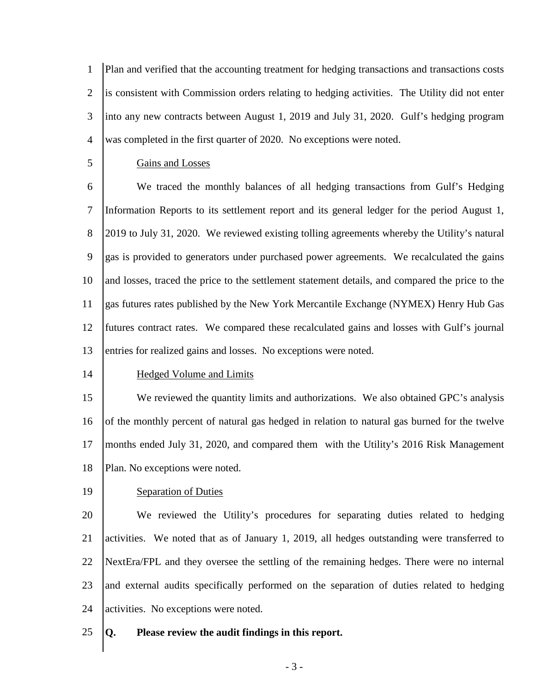1 2 3 4 Plan and verified that the accounting treatment for hedging transactions and transactions costs is consistent with Commission orders relating to hedging activities. The Utility did not enter into any new contracts between August 1, 2019 and July 31, 2020. Gulf's hedging program was completed in the first quarter of 2020. No exceptions were noted.

#### 5

### Gains and Losses

6 7 8 9 10 11 12 13 We traced the monthly balances of all hedging transactions from Gulf's Hedging Information Reports to its settlement report and its general ledger for the period August 1, 2019 to July 31, 2020. We reviewed existing tolling agreements whereby the Utility's natural gas is provided to generators under purchased power agreements. We recalculated the gains and losses, traced the price to the settlement statement details, and compared the price to the gas futures rates published by the New York Mercantile Exchange (NYMEX) Henry Hub Gas futures contract rates. We compared these recalculated gains and losses with Gulf's journal entries for realized gains and losses. No exceptions were noted.

#### 14

#### Hedged Volume and Limits

15 16 17 18 We reviewed the quantity limits and authorizations. We also obtained GPC's analysis of the monthly percent of natural gas hedged in relation to natural gas burned for the twelve months ended July 31, 2020, and compared them with the Utility's 2016 Risk Management Plan. No exceptions were noted.

#### 19

#### Separation of Duties

20 21 22 23 24 We reviewed the Utility's procedures for separating duties related to hedging activities. We noted that as of January 1, 2019, all hedges outstanding were transferred to NextEra/FPL and they oversee the settling of the remaining hedges. There were no internal and external audits specifically performed on the separation of duties related to hedging activities. No exceptions were noted.

#### 25 **Q. Please review the audit findings in this report.**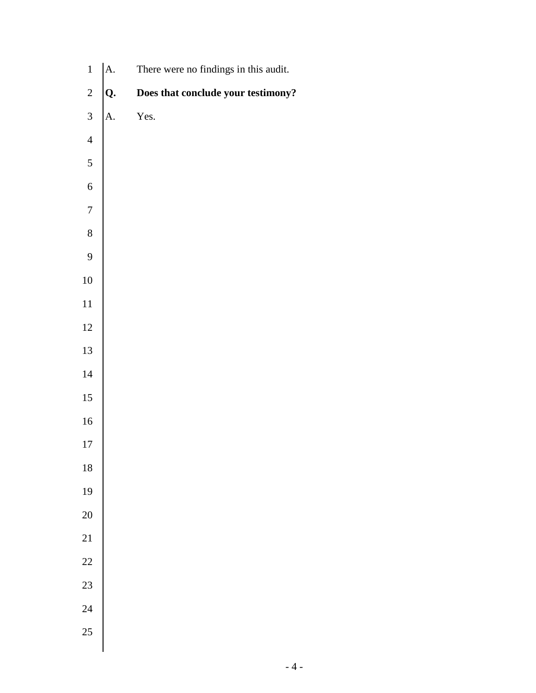| $\mathbf{1}$     | A. | There were no findings in this audit. |
|------------------|----|---------------------------------------|
| $\sqrt{2}$       | Q. | Does that conclude your testimony?    |
| $\overline{3}$   | A. | Yes.                                  |
| $\overline{4}$   |    |                                       |
| $\sqrt{5}$       |    |                                       |
| $\sqrt{6}$       |    |                                       |
| $\boldsymbol{7}$ |    |                                       |
| $\,8\,$          |    |                                       |
| $\mathbf{9}$     |    |                                       |
| $10\,$           |    |                                       |
| $11\,$           |    |                                       |
| 12               |    |                                       |
| 13               |    |                                       |
| $14\,$           |    |                                       |
| $15\,$           |    |                                       |
| $16\,$           |    |                                       |
| $17\,$           |    |                                       |
| 18               |    |                                       |
| 19               |    |                                       |
| 20               |    |                                       |
| 21               |    |                                       |
| 22               |    |                                       |
| 23               |    |                                       |
| 24               |    |                                       |
| 25               |    |                                       |
|                  |    |                                       |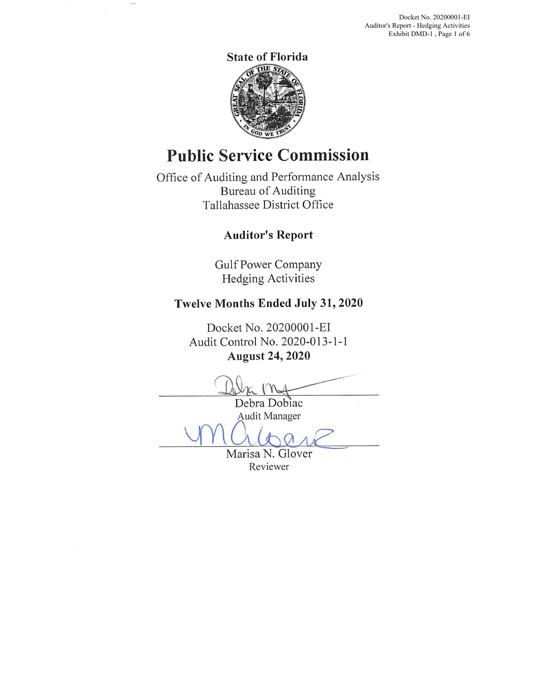Docket No. 20200001-EI Auditor's Report - Hedging Activities Exhibit DMD-1, Page 1 of 6



# **Public Service Commission**

Office of Auditing and Performance Analysis Bureau of Auditing Tallahassee District Office

## **Auditor's Report**

Gulf Power Company Hedging Activities

## **Twelve Months Ended July 31, 2020**

Docket No. 20200001-EI Audit Control No. 2020-013-1-1 **August 24, 2020** 

Debra Dobiac Audit Manager vm albane

Marisa N. Glover Reviewer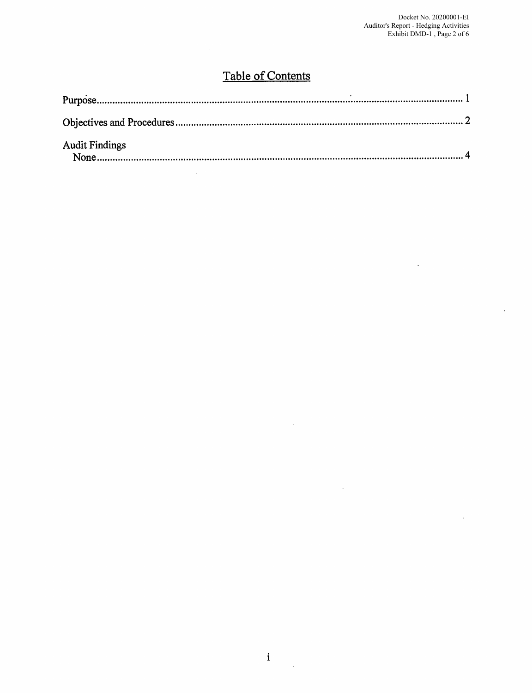$\ddot{\phantom{a}}$ 

 $\ddot{\phantom{a}}$ 

 $\ddot{\phantom{a}}$ 

# Table of Contents

| <b>Audit Findings</b> |  |
|-----------------------|--|

 $\hat{\mathcal{A}}$ 

 $\mathcal{A}^{\mathcal{A}}$ 

 $\frac{1}{2}$  ,  $\frac{1}{2}$ 

 $\sim$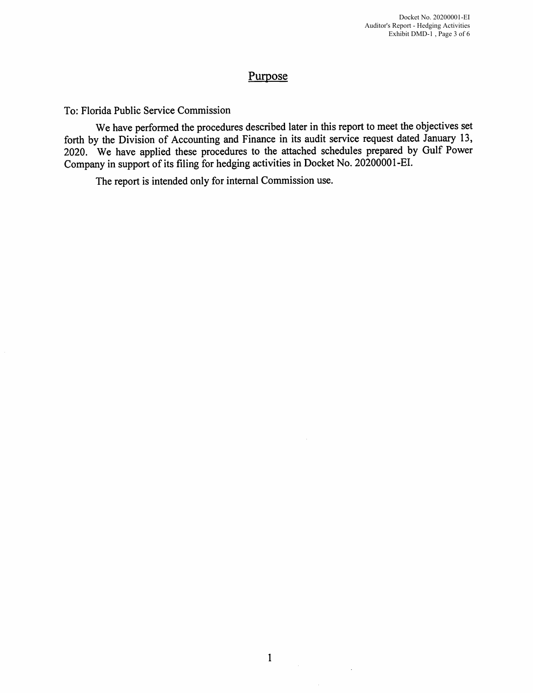### Purpose

To: Florida Public Service Commission

We have performed the procedures described later in this report to meet the objectives set forth by the Division of Accounting and Finance in its audit service request dated January 13, 2020. We have applied these procedures to the attached schedules prepared by Gulf Power Company in support of its filing for hedging activities in Docket No. 20200001-EI.

The report is intended only for internal Commission use.

 $\ddot{\phantom{a}}$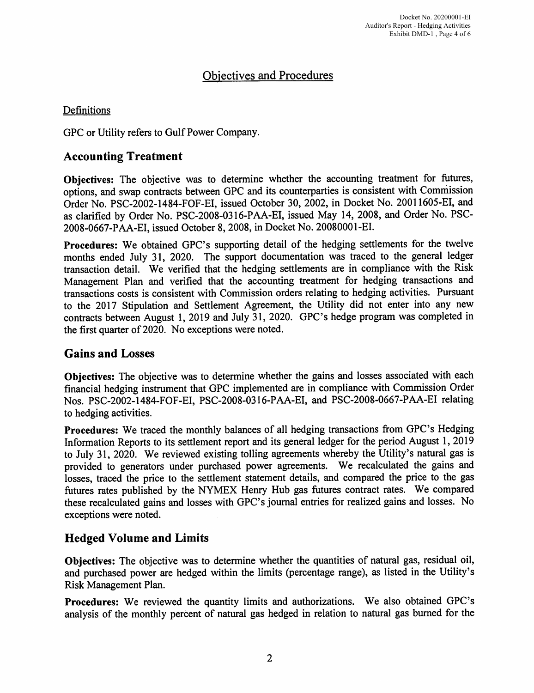## Objectives and Procedures

### Definitions

GPC or Utility refers to Gulf Power Company.

### **Accounting Treatment**

**Objectives:** The objective was to determine whether the accounting treatment for futures, options, and swap contracts between GPC and its counterparties is consistent with Commission Order No. PSC-2002-1484-FOF-EI, issued October 30, 2002, in Docket No. 20011605-EI, and as clarified by Order No. PSC-2008-0316-PAA-EI, issued May 14, 2008, and Order No. PSC-2008-0667-PAA-EI, issued October 8, 2008, in Docket No. 20080001-EI.

**Procedures:** We obtained GPC's supporting detail of the hedging settlements for the twelve months ended July 31, 2020. The support documentation was traced to the general ledger transaction detail. We verified that the hedging settlements are in compliance with the Risk Management Plan and verified that the accounting treatment for hedging transactions and transactions costs is consistent with Commission orders relating to hedging activities. Pursuant to the 2017 Stipulation and Settlement Agreement, the Utility did not enter into any new contracts between August 1, 2019 and July 31, 2020. GPC's hedge program was completed in the first quarter of 2020. No exceptions were noted.

## **Gains and Losses**

**Objectives:** The objective was to determine whether the gains and losses associated with each financial hedging instrument that GPC implemented are in compliance with Commission Order Nos. PSC-2002-1484-FOF-EI, PSC-2008-0316-PAA-EI, and PSC-2008-0667-PAA-EI relating to hedging activities.

**Procedures:** We traced the monthly balances of all hedging transactions from GPC's Hedging Information Reports to its settlement report and its general ledger for the period August 1, <sup>2019</sup> to July 31, 2020. We reviewed existing tolling agreements whereby the Utility's natural gas is provided to generators under purchased power agreements. We recalculated the gains and losses, traced the price to the settlement statement details, and compared the price to the gas futures rates published by the NYMEX Henry Hub gas futures contract rates. We compared these recalculated gains and losses with GPC's journal entries for realized gains and losses. No exceptions were noted.

## **Hedged Volume and Limits**

**Objectives:** The objective was to determine whether the quantities of natural gas, residual oil, and purchased power are hedged within the limits (percentage range), as listed in the Utility's Risk Management Plan.

Procedures: We reviewed the quantity limits and authorizations. We also obtained GPC's analysis of the monthly percent of natural gas hedged in relation to natural gas burned for the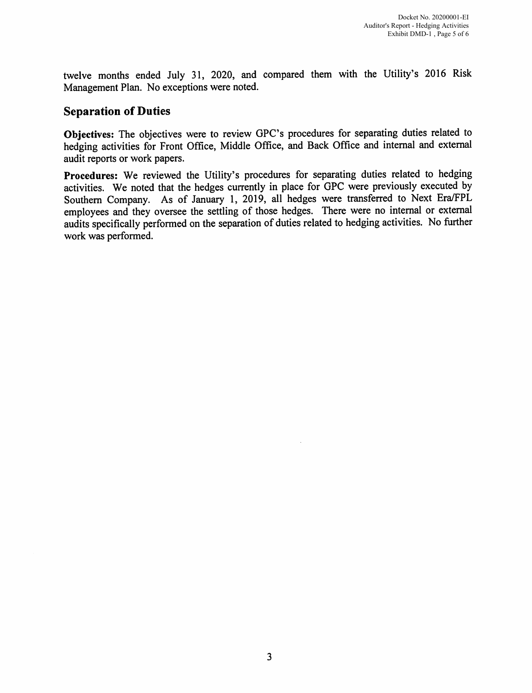twelve months ended July 31, 2020, and compared them with the Utility's 2016 Risk Management Plan. No exceptions were noted.

### **Separation of Duties**

**Objectives:** The objectives were to review GPC's procedures for separating duties related to hedging activities for Front Office, Middle Office, and Back Office and internal and external audit reports or work papers.

**Procedures:** We reviewed the Utility's procedures for separating duties related to hedging activities. We noted that the hedges currently in place for GPC were previously executed by Southern Company. As of January 1, 2019, all hedges were transferred to Next Era/FPL employees and they oversee the settling of those hedges. There were no internal or external audits specifically performed on the separation of duties related to hedging activities. No further work was performed.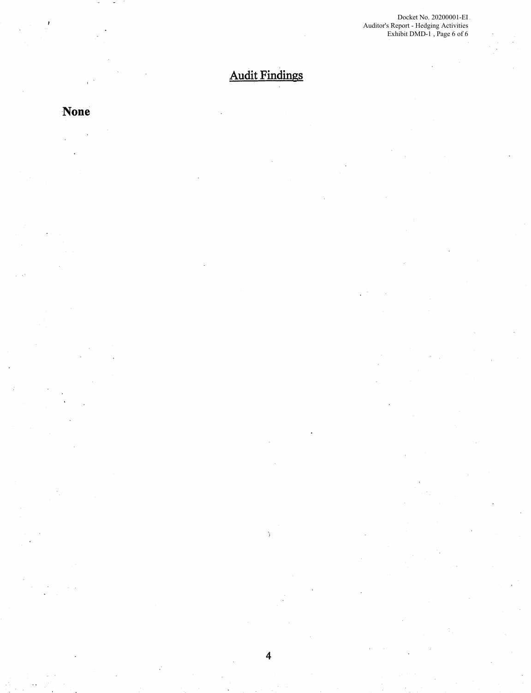Docket No. 20200001-EI Auditor's Report - Hedging Activities Exhibit DMD-1 , Page 6 of 6

# Audit Findings

4

Ŋ.

# **None**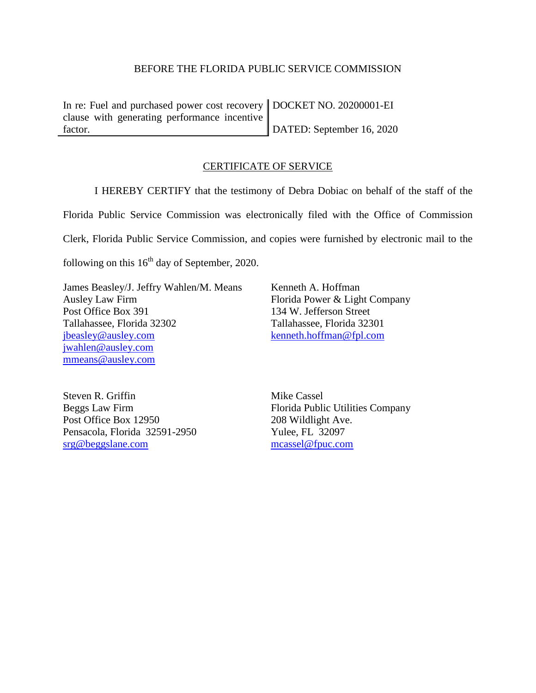#### BEFORE THE FLORIDA PUBLIC SERVICE COMMISSION

In re: Fuel and purchased power cost recovery DOCKET NO. 20200001-EI clause with generating performance incentive factor. DATED: September 16, 2020

### CERTIFICATE OF SERVICE

I HEREBY CERTIFY that the testimony of Debra Dobiac on behalf of the staff of the Florida Public Service Commission was electronically filed with the Office of Commission Clerk, Florida Public Service Commission, and copies were furnished by electronic mail to the

following on this  $16<sup>th</sup>$  day of September, 2020.

James Beasley/J. Jeffry Wahlen/M. Means Ausley Law Firm Post Office Box 391 Tallahassee, Florida 32302 [jbeasley@ausley.com](mailto:jbeasley@ausley.com) [jwahlen@ausley.com](mailto:jwahlen@ausley.com) mmeans@ausley.com

Kenneth A. Hoffman Florida Power & Light Company 134 W. Jefferson Street Tallahassee, Florida 32301 [kenneth.hoffman@fpl.com](mailto:Ken.Hoffman@fpl.com)

Steven R. Griffin Beggs Law Firm Post Office Box 12950 Pensacola, Florida 32591-2950 [srg@beggslane.com](mailto:srg@beggslane.com)

Mike Cassel Florida Public Utilities Company 208 Wildlight Ave. Yulee, FL 32097 [mcassel@fpuc.com](mailto:mcassel@fpuc.com)